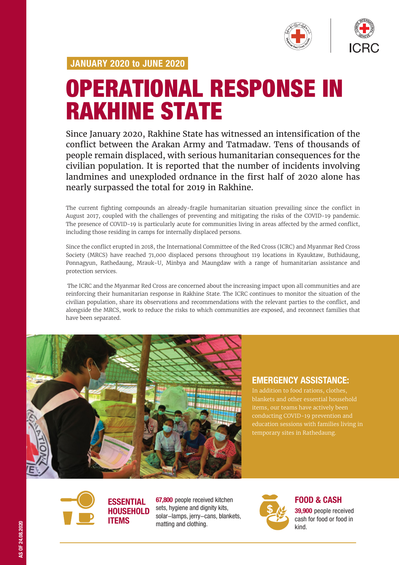

# OPERATIONAL RESPONSE IN RAKHINE STATE

Since January 2020, Rakhine State has witnessed an intensification of the conflict between the Arakan Army and Tatmadaw. Tens of thousands of people remain displaced, with serious humanitarian consequences for the civilian population. It is reported that the number of incidents involving landmines and unexploded ordnance in the first half of 2020 alone has nearly surpassed the total for 2019 in Rakhine.

The current fighting compounds an already-fragile humanitarian situation prevailing since the conflict in August 2017, coupled with the challenges of preventing and mitigating the risks of the COVID-19 pandemic. The presence of COVID-19 is particularly acute for communities living in areas affected by the armed conflict, including those residing in camps for internally displaced persons.

Since the conflict erupted in 2018, the International Committee of the Red Cross (ICRC) and Myanmar Red Cross Society (MRCS) have reached 71,000 displaced persons throughout 119 locations in Kyauktaw, Buthidaung, Ponnagyun, Rathedaung, Mrauk-U, Minbya and Maungdaw with a range of humanitarian assistance and protection services.

 The ICRC and the Myanmar Red Cross are concerned about the increasing impact upon all communities and are reinforcing their humanitarian response in Rakhine State. The ICRC continues to monitor the situation of the civilian population, share its observations and recommendations with the relevant parties to the conflict, and alongside the MRCS, work to reduce the risks to which communities are exposed, and reconnect families that have been separated.



## EMERGENCY ASSISTANCE:

In addition to food rations, clothes, conducting COVID-19 prevention and education sessions with families living in temporary sites in Rathedaung.



67,800 people received kitchen sets, hygiene and dignity kits, solar-lamps, jerry-cans, blankets, matting and clothing.



FOOD & CASH

39.900 people received cash for food or food in kind.